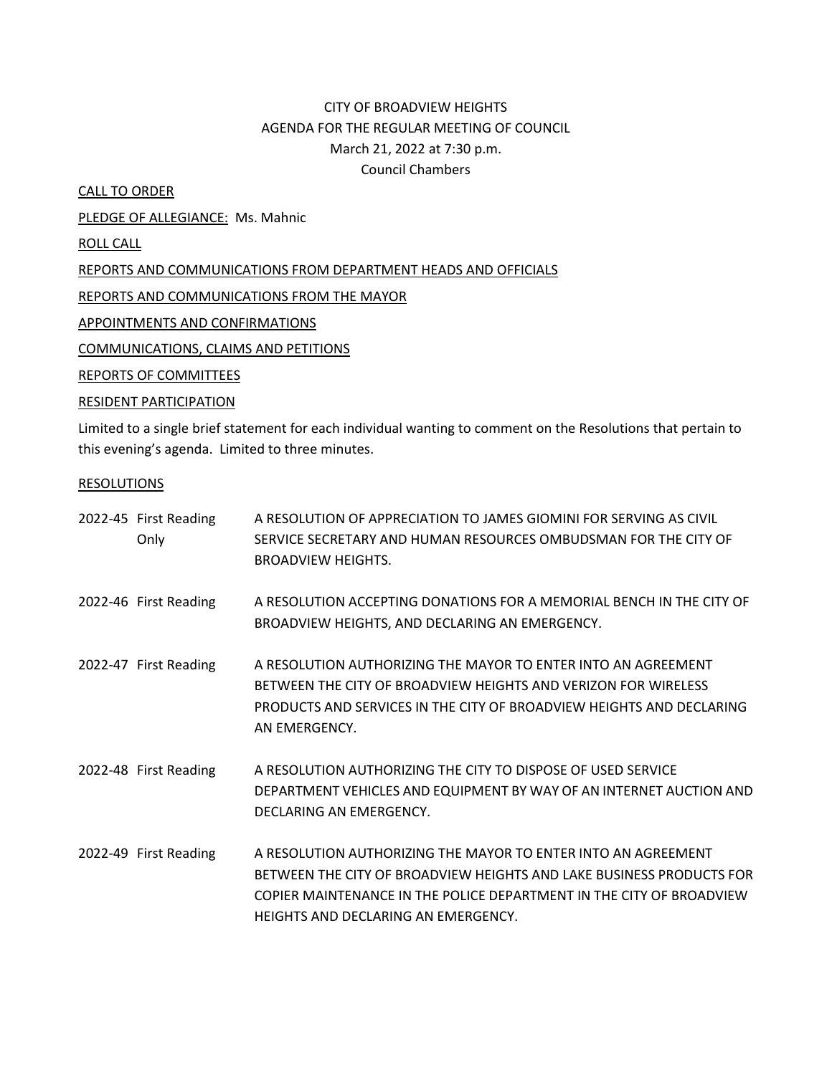# CITY OF BROADVIEW HEIGHTS AGENDA FOR THE REGULAR MEETING OF COUNCIL March 21, 2022 at 7:30 p.m. Council Chambers

CALL TO ORDER

PLEDGE OF ALLEGIANCE: Ms. Mahnic

ROLL CALL

REPORTS AND COMMUNICATIONS FROM DEPARTMENT HEADS AND OFFICIALS

REPORTS AND COMMUNICATIONS FROM THE MAYOR

APPOINTMENTS AND CONFIRMATIONS

COMMUNICATIONS, CLAIMS AND PETITIONS

REPORTS OF COMMITTEES

### RESIDENT PARTICIPATION

Limited to a single brief statement for each individual wanting to comment on the Resolutions that pertain to this evening's agenda. Limited to three minutes.

### RESOLUTIONS

| 2022-45 First Reading<br>Only | A RESOLUTION OF APPRECIATION TO JAMES GIOMINI FOR SERVING AS CIVIL<br>SERVICE SECRETARY AND HUMAN RESOURCES OMBUDSMAN FOR THE CITY OF<br><b>BROADVIEW HEIGHTS.</b>                                                                                   |
|-------------------------------|------------------------------------------------------------------------------------------------------------------------------------------------------------------------------------------------------------------------------------------------------|
| 2022-46 First Reading         | A RESOLUTION ACCEPTING DONATIONS FOR A MEMORIAL BENCH IN THE CITY OF<br>BROADVIEW HEIGHTS, AND DECLARING AN EMERGENCY.                                                                                                                               |
| 2022-47 First Reading         | A RESOLUTION AUTHORIZING THE MAYOR TO ENTER INTO AN AGREEMENT<br>BETWEEN THE CITY OF BROADVIEW HEIGHTS AND VERIZON FOR WIRELESS<br>PRODUCTS AND SERVICES IN THE CITY OF BROADVIEW HEIGHTS AND DECLARING<br>AN EMERGENCY.                             |
| 2022-48 First Reading         | A RESOLUTION AUTHORIZING THE CITY TO DISPOSE OF USED SERVICE<br>DEPARTMENT VEHICLES AND EQUIPMENT BY WAY OF AN INTERNET AUCTION AND<br>DECLARING AN EMERGENCY.                                                                                       |
| 2022-49 First Reading         | A RESOLUTION AUTHORIZING THE MAYOR TO ENTER INTO AN AGREEMENT<br>BETWEEN THE CITY OF BROADVIEW HEIGHTS AND LAKE BUSINESS PRODUCTS FOR<br>COPIER MAINTENANCE IN THE POLICE DEPARTMENT IN THE CITY OF BROADVIEW<br>HEIGHTS AND DECLARING AN EMERGENCY. |